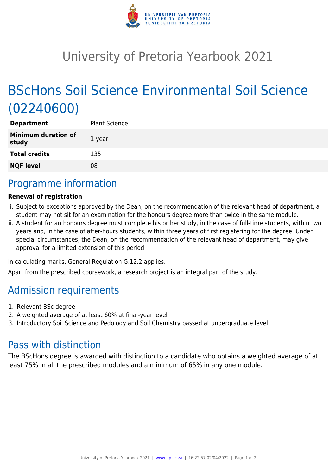

# University of Pretoria Yearbook 2021

# BScHons Soil Science Environmental Soil Science (02240600)

| <b>Plant Science</b> |
|----------------------|
| 1 year               |
| 135                  |
| 08                   |
|                      |

## Programme information

#### **Renewal of registration**

- i. Subject to exceptions approved by the Dean, on the recommendation of the relevant head of department, a student may not sit for an examination for the honours degree more than twice in the same module.
- ii. A student for an honours degree must complete his or her study, in the case of full-time students, within two years and, in the case of after-hours students, within three years of first registering for the degree. Under special circumstances, the Dean, on the recommendation of the relevant head of department, may give approval for a limited extension of this period.

In calculating marks, General Regulation G.12.2 applies.

Apart from the prescribed coursework, a research project is an integral part of the study.

### Admission requirements

- 1. Relevant BSc degree
- 2. A weighted average of at least 60% at final-year level
- 3. Introductory Soil Science and Pedology and Soil Chemistry passed at undergraduate level

### Pass with distinction

The BScHons degree is awarded with distinction to a candidate who obtains a weighted average of at least 75% in all the prescribed modules and a minimum of 65% in any one module.